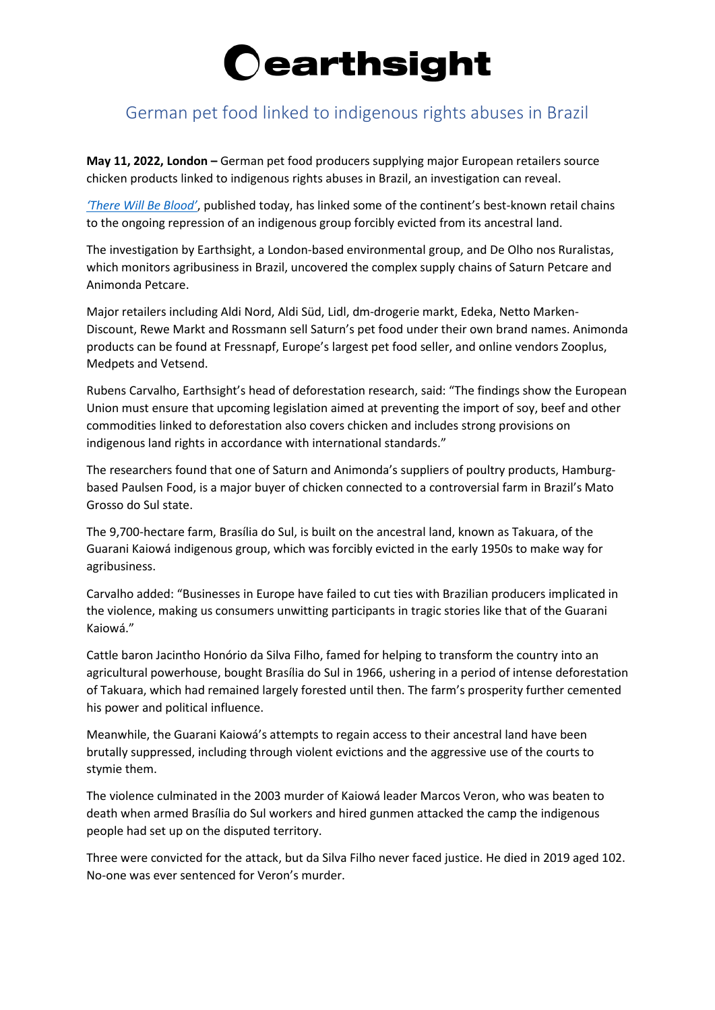### **Cearthsight**

#### German pet food linked to indigenous rights abuses in Brazil

**May 11, 2022, London –** German pet food producers supplying major European retailers source chicken products linked to indigenous rights abuses in Brazil, an investigation can reveal.

*['There Will Be Blood'](https://www.earthsight.org.uk/therewillbeblood)*, published today, has linked some of the continent's best-known retail chains to the ongoing repression of an indigenous group forcibly evicted from its ancestral land.

The investigation by Earthsight, a London-based environmental group, and De Olho nos Ruralistas, which monitors agribusiness in Brazil, uncovered the complex supply chains of Saturn Petcare and Animonda Petcare.

Major retailers including Aldi Nord, Aldi Süd, Lidl, dm-drogerie markt, Edeka, Netto Marken-Discount, Rewe Markt and Rossmann sell Saturn's pet food under their own brand names. Animonda products can be found at Fressnapf, Europe's largest pet food seller, and online vendors Zooplus, Medpets and Vetsend.

Rubens Carvalho, Earthsight's head of deforestation research, said: "The findings show the European Union must ensure that upcoming legislation aimed at preventing the import of soy, beef and other commodities linked to deforestation also covers chicken and includes strong provisions on indigenous land rights in accordance with international standards."

The researchers found that one of Saturn and Animonda's suppliers of poultry products, Hamburgbased Paulsen Food, is a major buyer of chicken connected to a controversial farm in Brazil's Mato Grosso do Sul state.

The 9,700-hectare farm, Brasília do Sul, is built on the ancestral land, known as Takuara, of the Guarani Kaiowá indigenous group, which was forcibly evicted in the early 1950s to make way for agribusiness.

Carvalho added: "Businesses in Europe have failed to cut ties with Brazilian producers implicated in the violence, making us consumers unwitting participants in tragic stories like that of the Guarani Kaiowá."

Cattle baron Jacintho Honório da Silva Filho, famed for helping to transform the country into an agricultural powerhouse, bought Brasília do Sul in 1966, ushering in a period of intense deforestation of Takuara, which had remained largely forested until then. The farm's prosperity further cemented his power and political influence.

Meanwhile, the Guarani Kaiowá's attempts to regain access to their ancestral land have been brutally suppressed, including through violent evictions and the aggressive use of the courts to stymie them.

The violence culminated in the 2003 murder of Kaiowá leader Marcos Veron, who was beaten to death when armed Brasília do Sul workers and hired gunmen attacked the camp the indigenous people had set up on the disputed territory.

Three were convicted for the attack, but da Silva Filho never faced justice. He died in 2019 aged 102. No-one was ever sentenced for Veron's murder.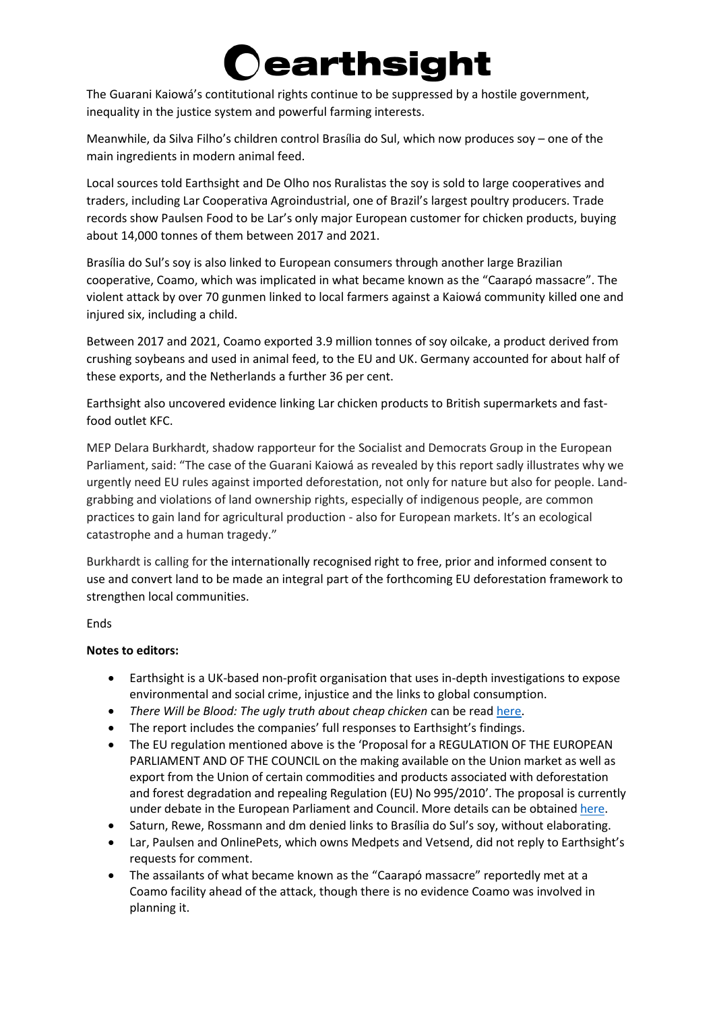## **earthsight**

The Guarani Kaiowá's contitutional rights continue to be suppressed by a hostile government, inequality in the justice system and powerful farming interests.

Meanwhile, da Silva Filho's children control Brasília do Sul, which now produces soy – one of the main ingredients in modern animal feed.

Local sources told Earthsight and De Olho nos Ruralistas the soy is sold to large cooperatives and traders, including Lar Cooperativa Agroindustrial, one of Brazil's largest poultry producers. Trade records show Paulsen Food to be Lar's only major European customer for chicken products, buying about 14,000 tonnes of them between 2017 and 2021.

Brasília do Sul's soy is also linked to European consumers through another large Brazilian cooperative, Coamo, which was implicated in what became known as the "Caarapó massacre". The violent attack by over 70 gunmen linked to local farmers against a Kaiowá community killed one and injured six, including a child.

Between 2017 and 2021, Coamo exported 3.9 million tonnes of soy oilcake, a product derived from crushing soybeans and used in animal feed, to the EU and UK. Germany accounted for about half of these exports, and the Netherlands a further 36 per cent.

Earthsight also uncovered evidence linking Lar chicken products to British supermarkets and fastfood outlet KFC.

MEP Delara Burkhardt, shadow rapporteur for the Socialist and Democrats Group in the European Parliament, said: "The case of the Guarani Kaiowá as revealed by this report sadly illustrates why we urgently need EU rules against imported deforestation, not only for nature but also for people. Landgrabbing and violations of land ownership rights, especially of indigenous people, are common practices to gain land for agricultural production - also for European markets. It's an ecological catastrophe and a human tragedy."

Burkhardt is calling for the internationally recognised right to free, prior and informed consent to use and convert land to be made an integral part of the forthcoming EU deforestation framework to strengthen local communities.

Ends

#### **Notes to editors:**

- Earthsight is a UK-based non-profit organisation that uses in-depth investigations to expose environmental and social crime, injustice and the links to global consumption.
- *There Will be Blood: The ugly truth about cheap chicken* can be rea[d here.](https://www.earthsight.org.uk/therewillbeblood)
- The report includes the companies' full responses to Earthsight's findings.
- The EU regulation mentioned above is the 'Proposal for a REGULATION OF THE EUROPEAN PARLIAMENT AND OF THE COUNCIL on the making available on the Union market as well as export from the Union of certain commodities and products associated with deforestation and forest degradation and repealing Regulation (EU) No 995/2010'. The proposal is currently under debate in the European Parliament and Council. More details can be obtained [here.](https://oeil.secure.europarl.europa.eu/oeil/popups/ficheprocedure.do?reference=2021/0366(COD)&l=en)
- Saturn, Rewe, Rossmann and dm denied links to Brasília do Sul's soy, without elaborating.
- Lar, Paulsen and OnlinePets, which owns Medpets and Vetsend, did not reply to Earthsight's requests for comment.
- The assailants of what became known as the "Caarapó massacre" reportedly met at a Coamo facility ahead of the attack, though there is no evidence Coamo was involved in planning it.